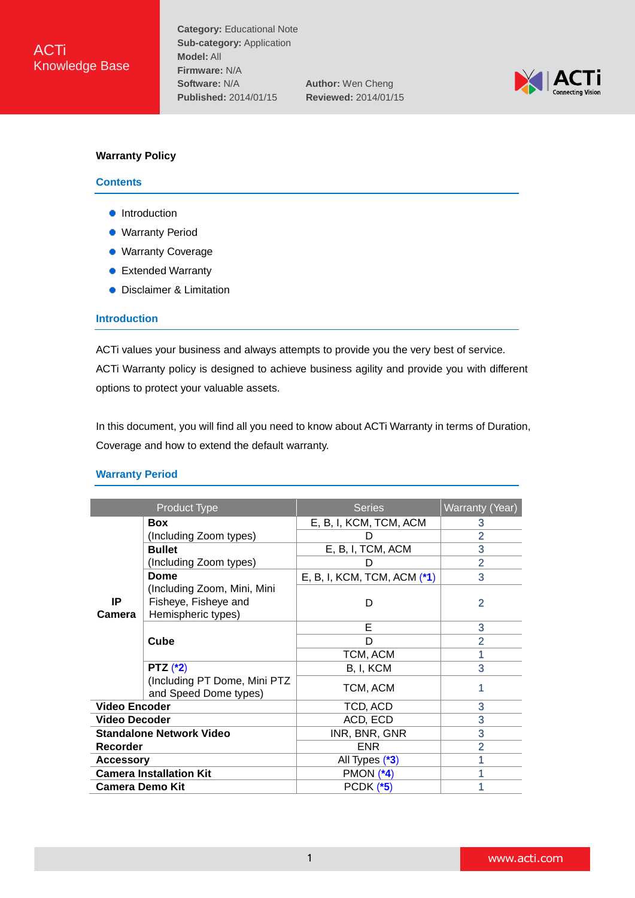

# **Warranty Policy**

#### **Contents**

- **•** [Introduction](#page-0-0)
- **[Warranty Period](#page-0-1)**
- [Warranty Coverage](#page-2-0)
- [Extended Warranty](#page-3-0)
- **•** [Disclaimer & Limitation](#page-5-0)

### <span id="page-0-0"></span>**Introduction**

ACTi values your business and always attempts to provide you the very best of service. ACTi Warranty policy is designed to achieve business agility and provide you with different options to protect your valuable assets.

In this document, you will find all you need to know about ACTi Warranty in terms of Duration, Coverage and how to extend the default warranty.

#### <span id="page-0-1"></span>**Warranty Period**

| <b>Product Type</b>             |                                                                            | <b>Series</b>                 | <b>Warranty (Year)</b> |
|---------------------------------|----------------------------------------------------------------------------|-------------------------------|------------------------|
|                                 | <b>Box</b>                                                                 | E, B, I, KCM, TCM, ACM        | 3                      |
| IP<br>Camera                    | (Including Zoom types)                                                     |                               | 2                      |
|                                 | <b>Bullet</b>                                                              | E, B, I, TCM, ACM             | 3                      |
|                                 | (Including Zoom types)                                                     | D                             | 2                      |
|                                 | Dome                                                                       | E, B, I, KCM, TCM, ACM $(*1)$ | 3                      |
|                                 | (Including Zoom, Mini, Mini)<br>Fisheye, Fisheye and<br>Hemispheric types) | D                             | $\overline{2}$         |
|                                 | Cube                                                                       | Е                             | 3                      |
|                                 |                                                                            | D                             | $\overline{2}$         |
|                                 |                                                                            | TCM, ACM                      |                        |
|                                 | PTZ $(*2)$                                                                 | B, I, KCM                     | 3                      |
|                                 | (Including PT Dome, Mini PTZ<br>and Speed Dome types)                      | TCM, ACM                      | 1                      |
| <b>Video Encoder</b>            |                                                                            | TCD, ACD                      | 3                      |
| <b>Video Decoder</b>            |                                                                            | ACD, ECD                      | 3                      |
| <b>Standalone Network Video</b> |                                                                            | INR, BNR, GNR                 | 3                      |
| Recorder                        |                                                                            | <b>ENR</b>                    | $\overline{2}$         |
| <b>Accessory</b>                |                                                                            | All Types (*3)                |                        |
| <b>Camera Installation Kit</b>  |                                                                            | PMON $(*4)$                   |                        |
| <b>Camera Demo Kit</b>          |                                                                            | <b>PCDK (*5)</b>              |                        |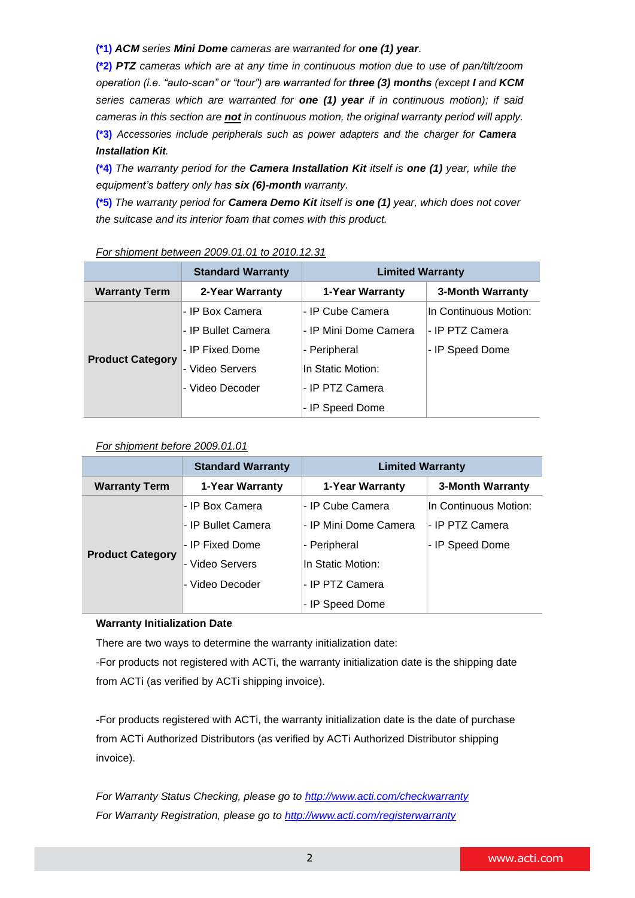**(\*1)** *ACM series Mini Dome cameras are warranted for one (1) year*.

**(\*2)** *PTZ cameras which are at any time in continuous motion due to use of pan/tilt/zoom operation (i.e. "auto-scan" or "tour") are warranted for three (3) months (except I and KCM series cameras which are warranted for one (1) year if in continuous motion); if said cameras in this section are not in continuous motion, the original warranty period will apply.* **(\*3)** *Accessories include peripherals such as power adapters and the charger for Camera Installation Kit.*

**(\*4)** *The warranty period for the Camera Installation Kit itself is one (1) year, while the equipment's battery only has six (6)-month warranty.*

**(\*5)** *The warranty period for Camera Demo Kit itself is one (1) year, which does not cover the suitcase and its interior foam that comes with this product.*

|                         | <b>Standard Warranty</b> | <b>Limited Warranty</b> |                       |  |
|-------------------------|--------------------------|-------------------------|-----------------------|--|
| <b>Warranty Term</b>    | 2-Year Warranty          | 1-Year Warranty         | 3-Month Warranty      |  |
|                         | - IP Box Camera          | - IP Cube Camera        | In Continuous Motion: |  |
|                         | - IP Bullet Camera       | - IP Mini Dome Camera   | I- IP PTZ Camera      |  |
|                         | - IP Fixed Dome          | - Peripheral            | - IP Speed Dome       |  |
| <b>Product Category</b> | - Video Servers          | In Static Motion:       |                       |  |
|                         | - Video Decoder          | - IP PTZ Camera         |                       |  |
|                         |                          | - IP Speed Dome         |                       |  |

### *For shipment between 2009.01.01 to 2010.12.31*

### *For shipment before 2009.01.01*

|                         | <b>Standard Warranty</b> | <b>Limited Warranty</b> |                       |  |
|-------------------------|--------------------------|-------------------------|-----------------------|--|
| <b>Warranty Term</b>    | 1-Year Warranty          | 1-Year Warranty         | 3-Month Warranty      |  |
|                         | - IP Box Camera          | - IP Cube Camera        | In Continuous Motion: |  |
|                         | - IP Bullet Camera       | l- IP Mini Dome Camera  | - IP PTZ Camera       |  |
|                         | - IP Fixed Dome          | - Peripheral            | - IP Speed Dome       |  |
| <b>Product Category</b> | - Video Servers          | In Static Motion:       |                       |  |
|                         | - Video Decoder          | I- IP PTZ Camera        |                       |  |
|                         |                          | - IP Speed Dome         |                       |  |

# **Warranty Initialization Date**

There are two ways to determine the warranty initialization date:

-For products not registered with ACTi, the warranty initialization date is the shipping date from ACTi (as verified by ACTi shipping invoice).

-For products registered with ACTi, the warranty initialization date is the date of purchase from ACTi Authorized Distributors (as verified by ACTi Authorized Distributor shipping invoice).

*For Warranty Status Checking, please go to <http://www.acti.com/checkwarranty> For Warranty Registration, please go to <http://www.acti.com/registerwarranty>*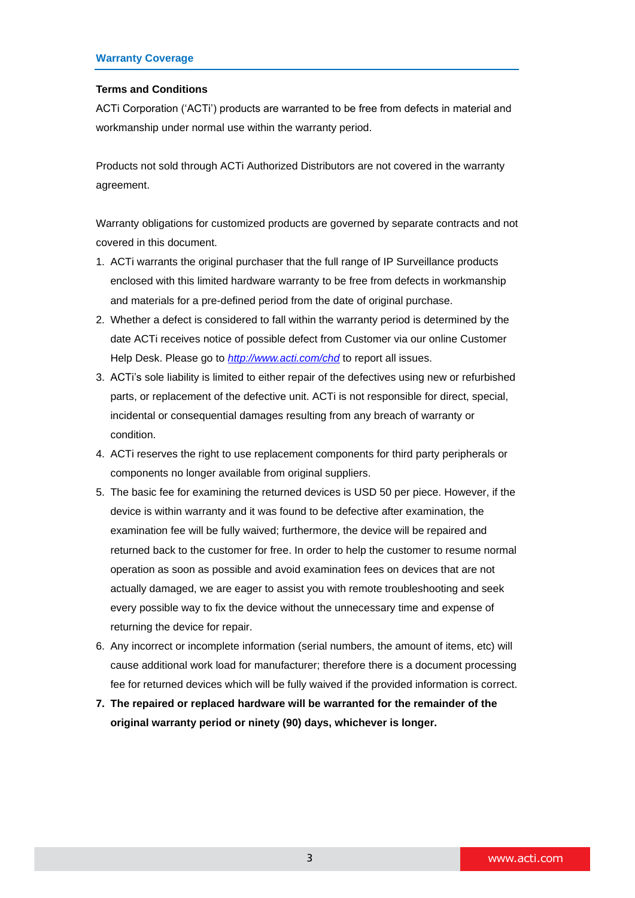#### <span id="page-2-0"></span>**Terms and Conditions**

ACTi Corporation ('ACTi') products are warranted to be free from defects in material and workmanship under normal use within the warranty period.

Products not sold through ACTi Authorized Distributors are not covered in the warranty agreement.

Warranty obligations for customized products are governed by separate contracts and not covered in this document.

- 1. ACTi warrants the original purchaser that the full range of IP Surveillance products enclosed with this limited hardware warranty to be free from defects in workmanship and materials for a pre-defined period from the date of original purchase.
- 2. Whether a defect is considered to fall within the warranty period is determined by the date ACTi receives notice of possible defect from Customer via our online Customer Help Desk. Please go to *<http://www.acti.com/chd>* to report all issues.
- 3. ACTi's sole liability is limited to either repair of the defectives using new or refurbished parts, or replacement of the defective unit. ACTi is not responsible for direct, special, incidental or consequential damages resulting from any breach of warranty or condition.
- 4. ACTi reserves the right to use replacement components for third party peripherals or components no longer available from original suppliers.
- 5. The basic fee for examining the returned devices is USD 50 per piece. However, if the device is within warranty and it was found to be defective after examination, the examination fee will be fully waived; furthermore, the device will be repaired and returned back to the customer for free. In order to help the customer to resume normal operation as soon as possible and avoid examination fees on devices that are not actually damaged, we are eager to assist you with remote troubleshooting and seek every possible way to fix the device without the unnecessary time and expense of returning the device for repair.
- 6. Any incorrect or incomplete information (serial numbers, the amount of items, etc) will cause additional work load for manufacturer; therefore there is a document processing fee for returned devices which will be fully waived if the provided information is correct.
- **7. The repaired or replaced hardware will be warranted for the remainder of the original warranty period or ninety (90) days, whichever is longer.**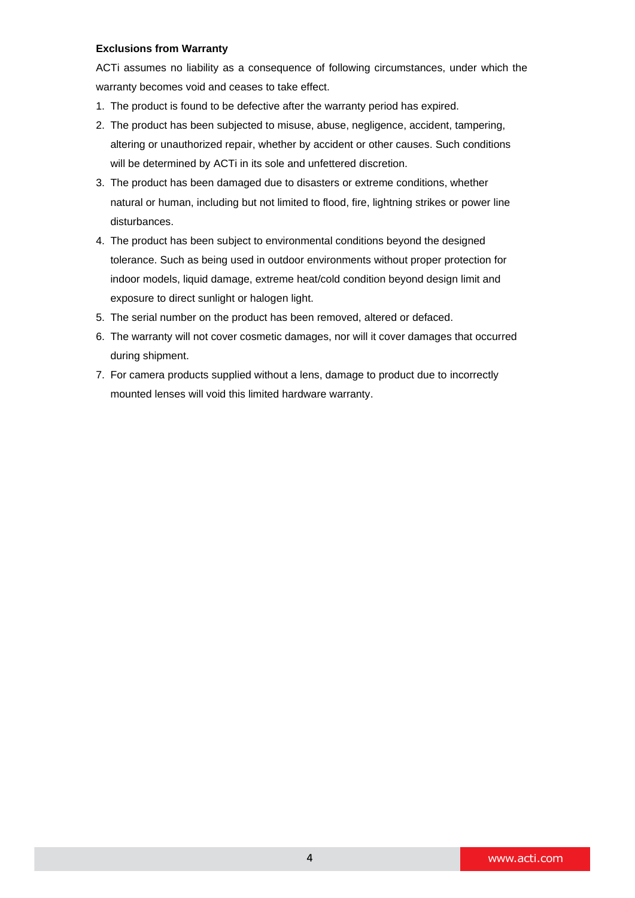# **Exclusions from Warranty**

ACTi assumes no liability as a consequence of following circumstances, under which the warranty becomes void and ceases to take effect.

- 1. The product is found to be defective after the warranty period has expired.
- 2. The product has been subjected to misuse, abuse, negligence, accident, tampering, altering or unauthorized repair, whether by accident or other causes. Such conditions will be determined by ACTi in its sole and unfettered discretion.
- 3. The product has been damaged due to disasters or extreme conditions, whether natural or human, including but not limited to flood, fire, lightning strikes or power line disturbances.
- 4. The product has been subject to environmental conditions beyond the designed tolerance. Such as being used in outdoor environments without proper protection for indoor models, liquid damage, extreme heat/cold condition beyond design limit and exposure to direct sunlight or halogen light.
- 5. The serial number on the product has been removed, altered or defaced.
- 6. The warranty will not cover cosmetic damages, nor will it cover damages that occurred during shipment.
- <span id="page-3-0"></span>7. For camera products supplied without a lens, damage to product due to incorrectly mounted lenses will void this limited hardware warranty.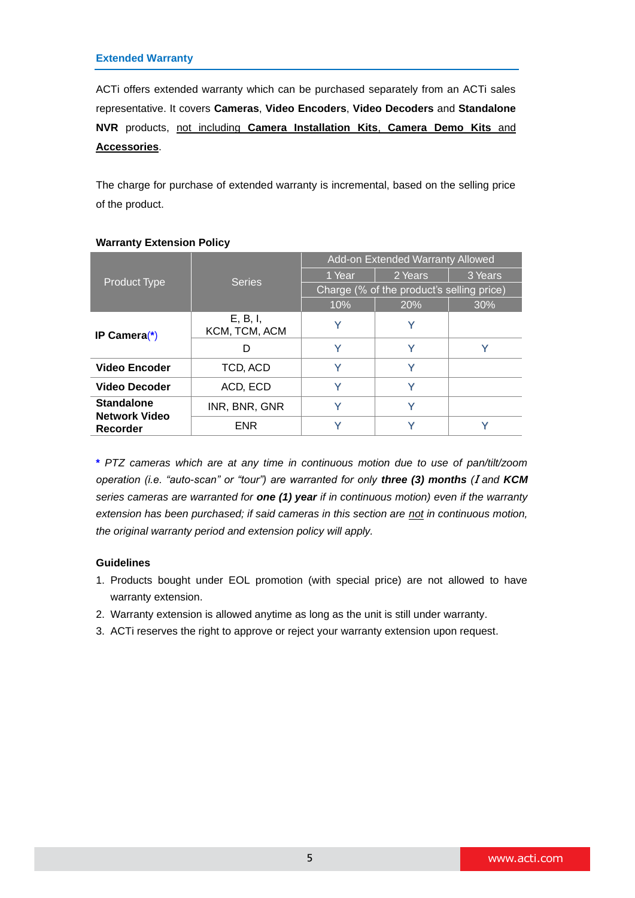ACTi offers extended warranty which can be purchased separately from an ACTi sales representative. It covers **Cameras**, **Video Encoders**, **Video Decoders** and **Standalone NVR** products, not including **Camera Installation Kits**, **Camera Demo Kits** and **Accessories**.

The charge for purchase of extended warranty is incremental, based on the selling price of the product.

|                                           | <b>Series</b>             | Add-on Extended Warranty Allowed          |         |         |
|-------------------------------------------|---------------------------|-------------------------------------------|---------|---------|
| <b>Product Type</b>                       |                           | 1 Year                                    | 2 Years | 3 Years |
|                                           |                           | Charge (% of the product's selling price) |         |         |
|                                           |                           | 10%                                       | 20%     | 30%     |
| IP Camera $(*)$                           | E, B, I,<br>KCM, TCM, ACM | $\checkmark$                              | Υ       |         |
|                                           | D                         | Y                                         | v       |         |
| <b>Video Encoder</b>                      | TCD, ACD                  | v                                         | v       |         |
| <b>Video Decoder</b>                      | ACD, ECD                  |                                           |         |         |
| <b>Standalone</b><br><b>Network Video</b> | INR, BNR, GNR             |                                           | v       |         |
| Recorder                                  | <b>ENR</b>                |                                           |         |         |

# **Warranty Extension Policy**

**\*** *PTZ cameras which are at any time in continuous motion due to use of pan/tilt/zoom operation (i.e. "auto-scan" or "tour") are warranted for only three (3) months (*I *and KCM series cameras are warranted for one (1) year if in continuous motion) even if the warranty extension has been purchased; if said cameras in this section are not in continuous motion, the original warranty period and extension policy will apply.*

# **Guidelines**

- 1. Products bought under EOL promotion (with special price) are not allowed to have warranty extension.
- 2. Warranty extension is allowed anytime as long as the unit is still under warranty.
- 3. ACTi reserves the right to approve or reject your warranty extension upon request.